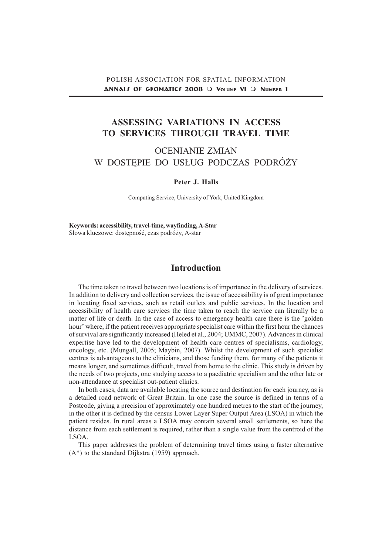# ASSESSING VARIATIONS IN ACCESS TO SERVICES THROUGH TRAVEL TIME

# OCENIANIE ZMIAN W DOSTEPIE DO USŁUG PODCZAS PODRÓŻY

#### Peter J. Halls

Computing Service, University of York, United Kingdom

Keywords: accessibility, travel-time, wayfinding, A-Star Słowa kluczowe: dostępność, czas podróży, A-star

### Introduction

The time taken to travel between two locations is of importance in the delivery of services. In addition to delivery and collection services, the issue of accessibility is of great importance in locating fixed services, such as retail outlets and public services. In the location and accessibility of health care services the time taken to reach the service can literally be a matter of life or death. In the case of access to emergency health care there is the 'golden hour' where, if the patient receives appropriate specialist care within the first hour the chances of survival are significantly increased (Heled et al., 2004; UMMC, 2007). Advances in clinical expertise have led to the development of health care centres of specialisms, cardiology, oncology, etc. (Mungall, 2005; Maybin, 2007). Whilst the development of such specialist centres is advantageous to the clinicians, and those funding them, for many of the patients it means longer, and sometimes difficult, travel from home to the clinic. This study is driven by the needs of two projects, one studying access to a paediatric specialism and the other late or non-attendance at specialist out-patient clinics.

In both cases, data are available locating the source and destination for each journey, as is a detailed road network of Great Britain. In one case the source is defined in terms of a Postcode, giving a precision of approximately one hundred metres to the start of the journey, in the other it is defined by the census Lower Layer Super Output Area (LSOA) in which the patient resides. In rural areas a LSOA may contain several small settlements, so here the distance from each settlement is required, rather than a single value from the centroid of the LSOA.

This paper addresses the problem of determining travel times using a faster alternative (A\*) to the standard Dijkstra (1959) approach.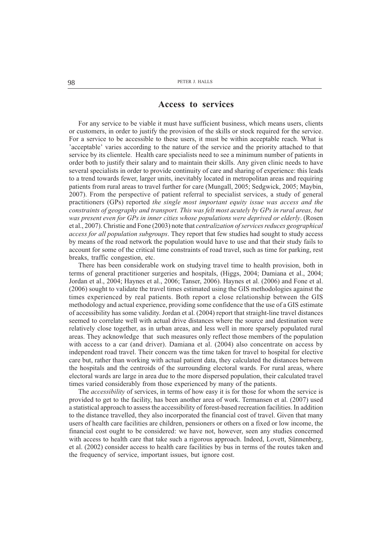#### Access to services

For any service to be viable it must have sufficient business, which means users, clients or customers, in order to justify the provision of the skills or stock required for the service. For a service to be accessible to these users, it must be within acceptable reach. What is deceptable' varies according to the nature of the service and the priority attached to that service by its clientele. Health care specialists need to see a minimum number of patients in order both to justify their salary and to maintain their skills. Any given clinic needs to have several specialists in order to provide continuity of care and sharing of experience: this leads to a trend towards fewer, larger units, inevitably located in metropolitan areas and requiring patients from rural areas to travel further for care (Mungall, 2005; Sedgwick, 2005; Maybin, 2007). From the perspective of patient referral to specialist services, a study of general practitioners (GPs) reported the single most important equity issue was access and the constraints of geography and transport. This was felt most acutely by GPs in rural areas, but was present even for GPs in inner cities whose populations were deprived or elderly. (Rosen et al., 2007). Christie and Fone (2003) note that centralization of services reduces geographical access for all population subgroups. They report that few studies had sought to study access by means of the road network the population would have to use and that their study fails to account for some of the critical time constraints of road travel, such as time for parking, rest breaks, traffic congestion, etc.

There has been considerable work on studying travel time to health provision, both in terms of general practitioner surgeries and hospitals, (Higgs, 2004; Damiana et al., 2004; Jordan et al., 2004; Haynes et al., 2006; Tanser, 2006). Haynes et al. (2006) and Fone et al. (2006) sought to validate the travel times estimated using the GIS methodologies against the times experienced by real patients. Both report a close relationship between the GIS methodology and actual experience, providing some confidence that the use of a GIS estimate of accessibility has some validity. Jordan et al. (2004) report that straight-line travel distances seemed to correlate well with actual drive distances where the source and destination were relatively close together, as in urban areas, and less well in more sparsely populated rural areas. They acknowledge that such measures only reflect those members of the population with access to a car (and driver). Damiana et al. (2004) also concentrate on access by independent road travel. Their concern was the time taken for travel to hospital for elective care but, rather than working with actual patient data, they calculated the distances between the hospitals and the centroids of the surrounding electoral wards. For rural areas, where electoral wards are large in area due to the more dispersed population, their calculated travel times varied considerably from those experienced by many of the patients.

The *accessibility* of services, in terms of how easy it is for those for whom the service is provided to get to the facility, has been another area of work. Termansen et al. (2007) used a statistical approach to assess the accessibility of forest-based recreation facilities. In addition to the distance travelled, they also incorporated the financial cost of travel. Given that many users of health care facilities are children, pensioners or others on a fixed or low income, the financial cost ought to be considered: we have not, however, seen any studies concerned with access to health care that take such a rigorous approach. Indeed, Lovett, Sünnenberg, et al. (2002) consider access to health care facilities by bus in terms of the routes taken and the frequency of service, important issues, but ignore cost.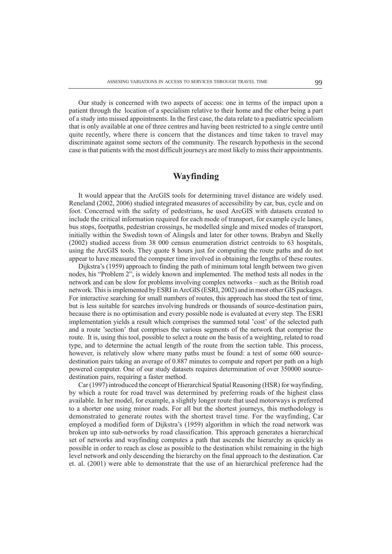Our study is concerned with two aspects of access: one in terms of the impact upon a patient through the location of a specialism relative to their home and the other being a part of a study into missed appointments. In the first case, the data relate to a paediatric specialism that is only available at one of three centres and having been restricted to a single centre until quite recently, where there is concern that the distances and time taken to travel may discriminate against some sectors of the community. The research hypothesis in the second case is that patients with the most difficult journeys are most likely to miss their appointments.

## Wayfinding

It would appear that the ArcGIS tools for determining travel distance are widely used. Reneland (2002, 2006) studied integrated measures of accessibility by car, bus, cycle and on foot. Concerned with the safety of pedestrians, he used ArcGIS with datasets created to include the critical information required for each mode of transport, for example cycle lanes, bus stops, footpaths, pedestrian crossings, he modelled single and mixed modes of transport, initially within the Swedish town of Alingsås and later for other towns. Brabyn and Skelly (2002) studied access from 38 000 census enumeration district centroids to 63 hospitals, using the ArcGIS tools. They quote 8 hours just for computing the route paths and do not appear to have measured the computer time involved in obtaining the lengths of these routes.

Dijkstra's (1959) approach to finding the path of minimum total length between two given nodes, his "Problem 2", is widely known and implemented. The method tests all nodes in the network and can be slow for problems involving complex networks – such as the British road network. This is implemented by ESRI in ArcGIS (ESRI, 2002) and in most other GIS packages. For interactive searching for small numbers of routes, this approach has stood the test of time, but is less suitable for searches involving hundreds or thousands of source-destination pairs, because there is no optimisation and every possible node is evaluated at every step. The ESRI implementation yields a result which comprises the summed total 'cost' of the selected path and a route 'section' that comprises the various segments of the network that comprise the route. It is, using this tool, possible to select a route on the basis of a weighting, related to road type, and to determine the actual length of the route from the section table. This process, however, is relatively slow where many paths must be found: a test of some 600 sourcedestination pairs taking an average of 0.887 minutes to compute and report per path on a high powered computer. One of our study datasets requires determination of over 350000 sourcedestination pairs, requiring a faster method.

Car (1997) introduced the concept of Hierarchical Spatial Reasoning (HSR) for wayfinding, by which a route for road travel was determined by preferring roads of the highest class available. In her model, for example, a slightly longer route that used motorways is preferred to a shorter one using minor roads. For all but the shortest journeys, this methodology is demonstrated to generate routes with the shortest travel time. For the wayfinding, Car employed a modified form of Dijkstra's (1959) algorithm in which the road network was broken up into sub-networks by road classification. This approach generates a hierarchical set of networks and wayfinding computes a path that ascends the hierarchy as quickly as possible in order to reach as close as possible to the destination whilst remaining in the high level network and only descending the hierarchy on the final approach to the destination. Car et. al. (2001) were able to demonstrate that the use of an hierarchical preference had the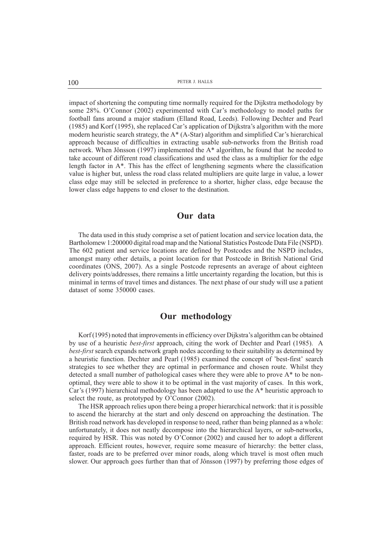100 PETER J. HALLS

impact of shortening the computing time normally required for the Dijkstra methodology by some  $28\%$ . O'Connor (2002) experimented with Car's methodology to model paths for football fans around a major stadium (Elland Road, Leeds). Following Dechter and Pearl  $(1985)$  and Korf (1995), she replaced Car's application of Dijkstra's algorithm with the more modern heuristic search strategy, the  $A^*$  (A-Star) algorithm and simplified Car's hierarchical approach because of difficulties in extracting usable sub-networks from the British road network. When Jônsson (1997) implemented the A\* algorithm, he found that he needed to take account of different road classifications and used the class as a multiplier for the edge length factor in A\*. This has the effect of lengthening segments where the classification value is higher but, unless the road class related multipliers are quite large in value, a lower class edge may still be selected in preference to a shorter, higher class, edge because the lower class edge happens to end closer to the destination.

### Our data

The data used in this study comprise a set of patient location and service location data, the Bartholomew 1:200000 digital road map and the National Statistics Postcode Data File (NSPD). The 602 patient and service locations are defined by Postcodes and the NSPD includes, amongst many other details, a point location for that Postcode in British National Grid coordinates (ONS, 2007). As a single Postcode represents an average of about eighteen delivery points/addresses, there remains a little uncertainty regarding the location, but this is minimal in terms of travel times and distances. The next phase of our study will use a patient dataset of some 350000 cases.

#### Our methodology

Korf (1995) noted that improvements in efficiency over Dijkstra's algorithm can be obtained by use of a heuristic best-first approach, citing the work of Dechter and Pearl (1985). A best-first search expands network graph nodes according to their suitability as determined by a heuristic function. Dechter and Pearl (1985) examined the concept of 'best-first' search strategies to see whether they are optimal in performance and chosen route. Whilst they detected a small number of pathological cases where they were able to prove  $A^*$  to be nonoptimal, they were able to show it to be optimal in the vast majority of cases. In this work, Car's (1997) hierarchical methodology has been adapted to use the  $A^*$  heuristic approach to select the route, as prototyped by  $O'Connor$  (2002).

The HSR approach relies upon there being a proper hierarchical network: that it is possible to ascend the hierarchy at the start and only descend on approaching the destination. The British road network has developed in response to need, rather than being planned as a whole: unfortunately, it does not neatly decompose into the hierarchical layers, or sub-networks, required by HSR. This was noted by  $O'$ Connor (2002) and caused her to adopt a different approach. Efficient routes, however, require some measure of hierarchy: the better class, faster, roads are to be preferred over minor roads, along which travel is most often much slower. Our approach goes further than that of Jônsson (1997) by preferring those edges of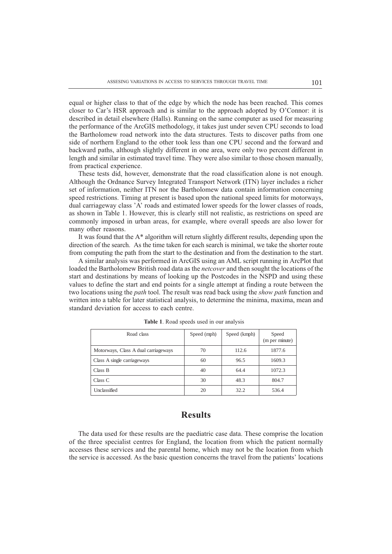equal or higher class to that of the edge by which the node has been reached. This comes closer to Car's HSR approach and is similar to the approach adopted by O'Connor: it is described in detail elsewhere (Halls). Running on the same computer as used for measuring the performance of the ArcGIS methodology, it takes just under seven CPU seconds to load the Bartholomew road network into the data structures. Tests to discover paths from one side of northern England to the other took less than one CPU second and the forward and backward paths, although slightly different in one area, were only two percent different in length and similar in estimated travel time. They were also similar to those chosen manually, from practical experience.

These tests did, however, demonstrate that the road classification alone is not enough. Although the Ordnance Survey Integrated Transport Network (ITN) layer includes a richer set of information, neither ITN nor the Bartholomew data contain information concerning speed restrictions. Timing at present is based upon the national speed limits for motorways, dual carriageway class 'A' roads and estimated lower speeds for the lower classes of roads, as shown in Table 1. However, this is clearly still not realistic, as restrictions on speed are commonly imposed in urban areas, for example, where overall speeds are also lower for many other reasons.

It was found that the A\* algorithm will return slightly different results, depending upon the direction of the search. As the time taken for each search is minimal, we take the shorter route from computing the path from the start to the destination and from the destination to the start.

A similar analysis was performed in ArcGIS using an AML script running in ArcPlot that loaded the Bartholomew British road data as the *netcover* and then sought the locations of the start and destinations by means of looking up the Postcodes in the NSPD and using these values to define the start and end points for a single attempt at finding a route between the two locations using the *path* tool. The result was read back using the *show path* function and written into a table for later statistical analysis, to determine the minima, maxima, mean and standard deviation for access to each centre.

| Road class                           | Speed (mph) | Speed (kmph) | Speed<br>(m per minute) |
|--------------------------------------|-------------|--------------|-------------------------|
| Motorways, Class A dual carriageways | 70          | 112.6        | 1877.6                  |
| Class A single carriageways          | 60          | 96.5         | 1609.3                  |
| Class B                              | 40          | 64.4         | 1072.3                  |
| Class C                              | 30          | 48.3         | 804.7                   |
| Unclassified                         | 20          | 32.2         | 536.4                   |

Table 1. Road speeds used in our analysis

## Results

The data used for these results are the paediatric case data. These comprise the location of the three specialist centres for England, the location from which the patient normally accesses these services and the parental home, which may not be the location from which the service is accessed. As the basic question concerns the travel from the patients locations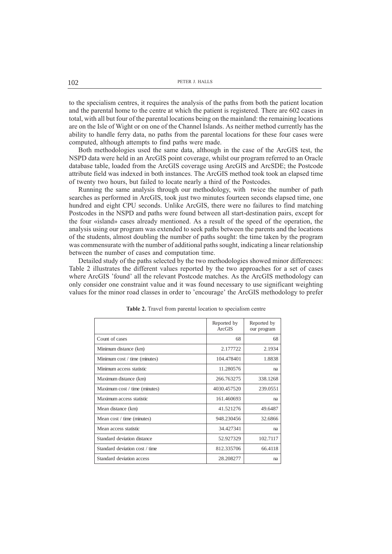to the specialism centres, it requires the analysis of the paths from both the patient location and the parental home to the centre at which the patient is registered. There are 602 cases in total, with all but four of the parental locations being on the mainland: the remaining locations are on the Isle of Wight or on one of the Channel Islands. As neither method currently has the ability to handle ferry data, no paths from the parental locations for these four cases were computed, although attempts to find paths were made.

Both methodologies used the same data, although in the case of the ArcGIS test, the NSPD data were held in an ArcGIS point coverage, whilst our program referred to an Oracle database table, loaded from the ArcGIS coverage using ArcGIS and ArcSDE; the Postcode attribute field was indexed in both instances. The ArcGIS method took took an elapsed time of twenty two hours, but failed to locate nearly a third of the Postcodes.

Running the same analysis through our methodology, with twice the number of path searches as performed in ArcGIS, took just two minutes fourteen seconds elapsed time, one hundred and eight CPU seconds. Unlike ArcGIS, there were no failures to find matching Postcodes in the NSPD and paths were found between all start-destination pairs, except for the four «island» cases already mentioned. As a result of the speed of the operation, the analysis using our program was extended to seek paths between the parents and the locations of the students, almost doubling the number of paths sought: the time taken by the program was commensurate with the number of additional paths sought, indicating a linear relationship between the number of cases and computation time.

Detailed study of the paths selected by the two methodologies showed minor differences: Table 2 illustrates the different values reported by the two approaches for a set of cases where ArcGIS 'found' all the relevant Postcode matches. As the ArcGIS methodology can only consider one constraint value and it was found necessary to use significant weighting values for the minor road classes in order to 'encourage' the ArcGIS methodology to prefer

|                                | Reported by<br><b>ArcGIS</b> | Reported by<br>our program |
|--------------------------------|------------------------------|----------------------------|
| Count of cases                 | 68                           | 68                         |
| Minimum distance (km)          | 2.177722                     | 2.1934                     |
| Minimum cost / time (minutes)  | 104.478401                   | 1.8838                     |
| Minimum access statistic       | 11.280576                    | na                         |
| Maximum distance (km)          | 266.763275                   | 338.1268                   |
| Maximum cost / time (minutes)  | 4030.457520                  | 239.0551                   |
| Maximum access statistic       | 161.460693                   | na                         |
| Mean distance (km)             | 41.521276                    | 49.6487                    |
| Mean cost / time (minutes)     | 948.230456                   | 32.6866                    |
| Mean access statistic          | 34.427341                    | na                         |
| Standard deviation distance    | 52.927329                    | 102.7117                   |
| Standard deviation cost / time | 812.335706                   | 66.4118                    |
| Standard deviation access      | 28.208277                    | na                         |

Table 2. Travel from parental location to specialism centre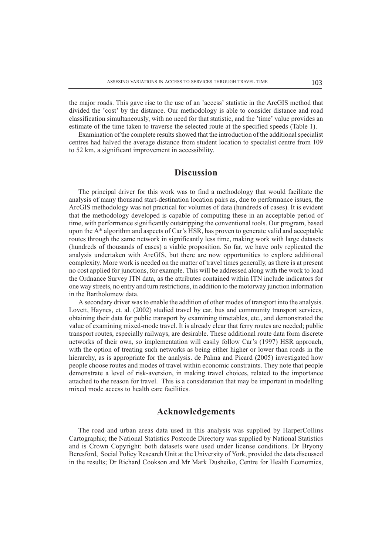the major roads. This gave rise to the use of an 'access' statistic in the ArcGIS method that divided the 'cost' by the distance. Our methodology is able to consider distance and road classification simultaneously, with no need for that statistic, and the 'time' value provides an estimate of the time taken to traverse the selected route at the specified speeds (Table 1).

Examination of the complete results showed that the introduction of the additional specialist centres had halved the average distance from student location to specialist centre from 109 to 52 km, a significant improvement in accessibility.

## Discussion

The principal driver for this work was to find a methodology that would facilitate the analysis of many thousand start-destination location pairs as, due to performance issues, the ArcGIS methodology was not practical for volumes of data (hundreds of cases). It is evident that the methodology developed is capable of computing these in an acceptable period of time, with performance significantly outstripping the conventional tools. Our program, based upon the  $A^*$  algorithm and aspects of Car's HSR, has proven to generate valid and acceptable routes through the same network in significantly less time, making work with large datasets (hundreds of thousands of cases) a viable proposition. So far, we have only replicated the analysis undertaken with ArcGIS, but there are now opportunities to explore additional complexity. More work is needed on the matter of travel times generally, as there is at present no cost applied for junctions, for example. This will be addressed along with the work to load the Ordnance Survey ITN data, as the attributes contained within ITN include indicators for one way streets, no entry and turn restrictions, in addition to the motorway junction information in the Bartholomew data.

A secondary driver was to enable the addition of other modes of transport into the analysis. Lovett, Haynes, et. al. (2002) studied travel by car, bus and community transport services, obtaining their data for public transport by examining timetables, etc., and demonstrated the value of examining mixed-mode travel. It is already clear that ferry routes are needed; public transport routes, especially railways, are desirable. These additional route data form discrete networks of their own, so implementation will easily follow Car's (1997) HSR approach, with the option of treating such networks as being either higher or lower than roads in the hierarchy, as is appropriate for the analysis. de Palma and Picard (2005) investigated how people choose routes and modes of travel within economic constraints. They note that people demonstrate a level of risk-aversion, in making travel choices, related to the importance attached to the reason for travel. This is a consideration that may be important in modelling mixed mode access to health care facilities.

#### Acknowledgements

The road and urban areas data used in this analysis was supplied by HarperCollins Cartographic; the National Statistics Postcode Directory was supplied by National Statistics and is Crown Copyright: both datasets were used under license conditions. Dr Bryony Beresford, Social Policy Research Unit at the University of York, provided the data discussed in the results; Dr Richard Cookson and Mr Mark Dusheiko, Centre for Health Economics,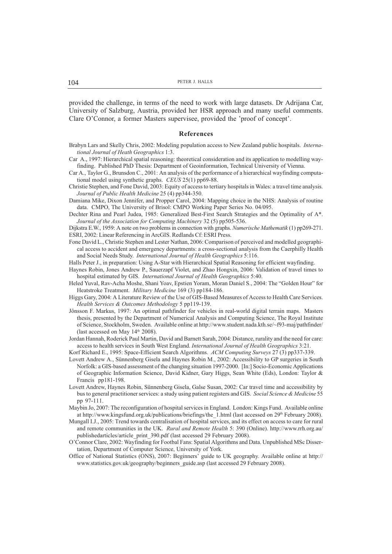provided the challenge, in terms of the need to work with large datasets. Dr Adrijana Car, University of Salzburg, Austria, provided her HSR approach and many useful comments. Clare O'Connor, a former Masters supervisee, provided the 'proof of concept'.

#### References

- Brabyn Lars and Skelly Chris, 2002: Modeling population access to New Zealand public hospitals. International Journal of Heath Geographics 1:3.
- Car A., 1997: Hierarchical spatial reasoning: theoretical consideration and its application to modelling wayfinding. Published PhD Thesis: Department of Geoinformation, Technical University of Vienna.
- Car A., Taylor G., Brunsdon C., 2001: An analysis of the performance of a hierarchical wayfinding computational model using synthetic graphs. CEUS 25(1) pp69-88.
- Christie Stephen, and Fone David, 2003: Equity of access to tertiary hospitals in Wales: a travel time analysis. Journal of Public Health Medicine 25 (4) pp344-350.
- Damiana Mike, Dixon Jennifer, and Propper Carol, 2004: Mapping choice in the NHS: Analysis of routine data. CMPO, The University of Brisol: CMPO Working Paper Series No. 04/095.
- Dechter Rina and Pearl Judea, 1985: Generalized Best-First Search Strategies and the Optimality of A\*. Journal of the Association for Computing Machinery 32 (5) pp505-536.

Dijkstra E.W., 1959: A note on two problems in connection with graphs. Numerische Mathematik (1) pp269-271. ESRI, 2002: Linear Referencing in ArcGIS. Redlands Cf: ESRI Press.

Fone David L., Christie Stephen and Lester Nathan, 2006: Comparison of perceived and modelled geographical access to accident and emergency departments: a cross-sectional analysis from the Caerphilly Health and Social Needs Study. International Journal of Health Geographics 5:116.

Halls Peter J., in preparation: Using A-Star with Hierarchical Spatial Reasoning for efficient wayfinding.

- Haynes Robin, Jones Andrew P., Sauerzapf Violet, and Zhao Hongxin, 2006: Validation of travel times to hospital estimated by GIS. International Journal of Health Geographics 5:40.
- Heled Yuval, Rav-Acha Moshe, Shani Yoav, Epstien Yoram, Moran Daniel S., 2004: The "Golden Hour" for Heatstroke Treatment. Military Medicine 169 (3) pp184-186.
- Higgs Gary, 2004: A Literature Review of the Use of GIS-Based Measures of Access to Health Care Services. Health Services & Outcomes Methodology 5 pp119-139.
- Jônsson F. Markus, 1997: An optimal pathfinder for vehicles in real-world digital terrain maps. Masters thesis, presented by the Department of Numerical Analysis and Computing Science, The Royal Institute of Science, Stockholm, Sweden. Available online at http://www.student.nada.kth.se/~f93-maj/pathfinder/ (last accessed on May  $14<sup>th</sup> 2008$ ).
- Jordan Hannah, Roderick Paul Martin, David and Barnett Sarah, 2004: Distance, rurality and the need for care: access to health services in South West England. International Journal of Health Geographics 3:21.
- Korf Richard E., 1995: Space-Efficient Search Algorithms. ACM Computing Surveys 27 (3) pp337-339.
- Lovett Andrew A., Sünnenberg Gisela and Haynes Robin M., 2002: Accessibility to GP surgeries in South Norfolk: a GIS-based assessment of the changing situation 1997-2000. [In:] Socio-Economic Applications of Geographic Information Science, David Kidner, Gary Higgs, Sean White (Eds), London: Taylor & Francis pp181-198.
- Lovett Andrew, Haynes Robin, Sünnenberg Gisela, Galse Susan, 2002: Car travel time and accessibility by bus to general practitioner services: a study using patient registers and GIS. Social Science & Medicine 55 pp 97-111.
- Maybin Jo, 2007: The reconfiguration of hospital services in England. London: Kings Fund. Available online at http://www.kingsfund.org.uk/publications/briefings/the 1.html (last accessed on 29<sup>th</sup> February 2008).
- Mungall I.J., 2005: Trend towards centralisation of hospital services, and its effect on access to care for rural and remote communities in the UK. Rural and Remote Health 5: 390 (Online). http://www.rrh.org.au/ publishedarticles/article\_print\_390.pdf (last accessed 29 February 2008).
- OConnor Clare, 2002: Wayfinding for Footbal Fans: Spatial Algorithms and Data. Unpublished MSc Dissertation, Department of Computer Science, University of York.
- Office of National Statistics (ONS), 2007: Beginners guide to UK geography. Available online at http:// www.statistics.gov.uk/geography/beginners\_guide.asp (last accessed 29 February 2008).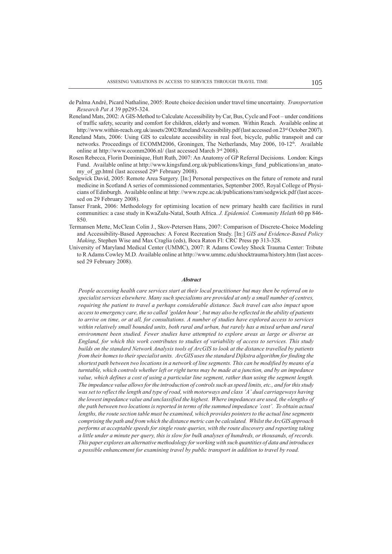- de Palma André, Picard Nathaline, 2005: Route choice decision under travel time uncertainty. Transportation Research Pat A 39 pp295-324.
- Reneland Mats, 2002: A GIS-Method to Calculate Accessibility by Car, Bus, Cycle and Foot under conditions of traffic safety, security and comfort for children, elderly and women. Within Reach. Available online at http://www.within-reach.org.uk/assets/2002/Reneland/Accessibility.pdf (last accessed on 23<sup>rd</sup> October 2007).
- Reneland Mats, 2006: Using GIS to calculate accessibility in real foot, bicycle, public transpoit and car networks. Proceedings of ECOMM2006, Groningen, The Netherlands, May 2006, 10-12<sup>th</sup>. Available online at http://www.ecomm2006.nl/ (last accessed March 3rd 2008).
- Rosen Rebecca, Florin Dominique, Hutt Ruth, 2007: An Anatomy of GP Referral Decisions. London: Kings Fund. Available online at http://www.kingsfund.org.uk/publications/kings\_fund\_publications/an\_anatomy\_of\_gp.html (last accessed 29<sup>th</sup> February 2008).
- Sedgwick David, 2005: Remote Area Surgery. [In:] Personal perspectives on the future of remote and rural medicine in Scotland A series of commissioned commentaries, September 2005, Royal College of Physicians of Edinburgh. Available online at http: //www.rcpe.ac.uk/publications/ram/sedgwick.pdf (last accessed on 29 February 2008).
- Tanser Frank, 2006: Methodology for optimising location of new primary health care facilities in rural communities: a case study in KwaZulu-Natal, South Africa. J. Epidemiol. Community Helath 60 pp 846-850.
- Termansen Mette, McClean Colin J., Skov-Petersen Hans, 2007: Comparison of Discrete-Choice Modeling and Accessibility-Based Approaches: A Forest Recreation Study. [In:] GIS and Evidence-Based Policy Making, Stephen Wise and Max Craglia (eds), Boca Raton Fl: CRC Press pp 313-328.
- University of Maryland Medical Center (UMMC), 2007: R Adams Cowley Shock Trauma Center: Tribute to R Adams Cowley M.D. Available online at http://www.ummc.edu/shocktrauma/history.htm (last accessed 29 February 2008).

#### **Abstract**

People accessing health care services start at their local practitioner but may then be referred on to specialist services elsewhere. Many such specialisms are provided at only a small number of centres, requiring the patient to travel a perhaps considerable distance. Such travel can also impact upon access to emergency care, the so called 'golden hour', but may also be reflected in the ability of patients to arrive on time, or at all, for consultations. A number of studies have explored access to services within relatively small bounded units, both rural and urban, but rarely has a mixed urban and rural environment been studied. Fewer studies have attempted to explore areas as large or diverse as England, for which this work contributes to studies of variability of access to services. This study builds on the standard Network Analysis tools of ArcGIS to look at the distance travelled by patients from their homes to their specialist units. ArcGIS uses the standard Dijkstra algorithm for finding the shortest path between two locations in a network of line segments. This can be modified by means of a turntable, which controls whether left or right turns may be made at a junction, and by an impedance value, which defines a cost of using a particular line segment, rather than using the segment length. The impedance value allows for the introduction of controls such as speed limits, etc., and for this study was set to reflect the length and type of road, with motorways and class 'A' dual carriageways having the lowest impedance value and unclassified the highest. Where impedances are used, the «length» of the path between two locations is reported in terms of the summed impedance 'cost'. To obtain actual lengths, the route section table must be examined, which provides pointers to the actual line segments comprising the path and from which the distance metric can be calculated. Whilst the ArcGIS approach performs at acceptable speeds for single route queries, with the route discovery and reporting taking a little under a minute per query, this is slow for bulk analyses of hundreds, or thousands, of records. This paper explores an alternative methodology for working with such quantities of data and introduces a possible enhancement for examining travel by public transport in addition to travel by road.